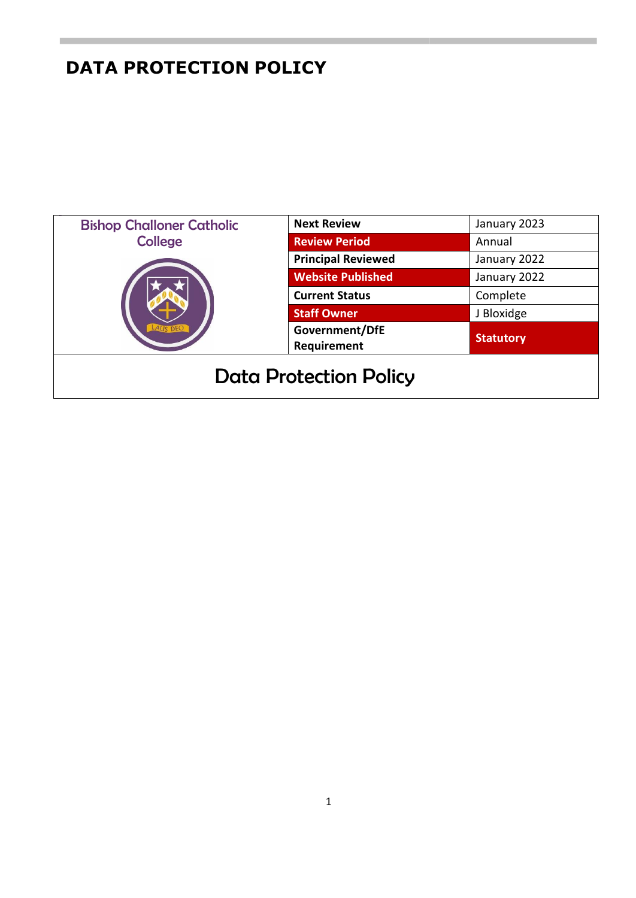| <b>Bishop Challoner Catholic</b><br><b>College</b> | <b>Next Review</b>            | January 2023     |
|----------------------------------------------------|-------------------------------|------------------|
|                                                    | <b>Review Period</b>          | Annual           |
|                                                    | <b>Principal Reviewed</b>     | January 2022     |
|                                                    | <b>Website Published</b>      | January 2022     |
|                                                    | <b>Current Status</b>         | Complete         |
|                                                    | <b>Staff Owner</b>            | J Bloxidge       |
|                                                    | Government/DfE<br>Requirement | <b>Statutory</b> |
| <b>Data Protection Policy</b>                      |                               |                  |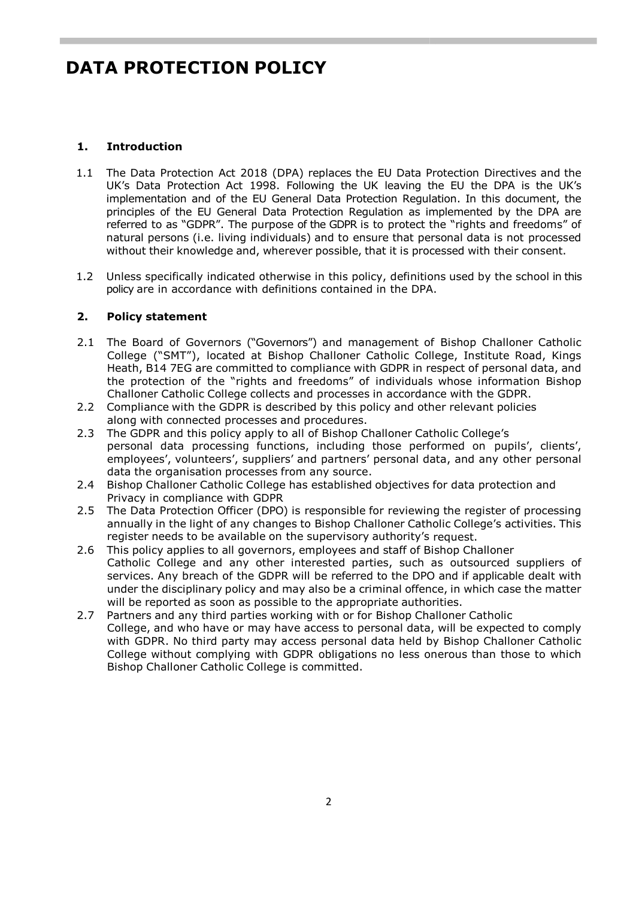### **1. Introduction**

- 1.1 The Data Protection Act 2018 (DPA) replaces the EU Data Protection Directives and the UK's Data Protection Act 1998. Following the UK leaving the EU the DPA is the UK's implementation and of the EU General Data Protection Regulation. In this document, the principles of the EU General Data Protection Regulation as implemented by the DPA are referred to as "GDPR". The purpose of the GDPR is to protect the "rights and freedoms" of natural persons (i.e. living individuals) and to ensure that personal data is not processed without their knowledge and, wherever possible, that it is processed with their consent.
- 1.2 Unless specifically indicated otherwise in this policy, definitions used by the school in this policy are in accordance with definitions contained in the DPA.

### **2. Policy statement**

- 2.1 The Board of Governors ("Governors") and management of Bishop Challoner Catholic College ("SMT"), located at Bishop Challoner Catholic College, Institute Road, Kings Heath, B14 7EG are committed to compliance with GDPR in respect of personal data, and the protection of the "rights and freedoms" of individuals whose information Bishop Challoner Catholic College collects and processes in accordance with the GDPR.
- 2.2 Compliance with the GDPR is described by this policy and other relevant policies along with connected processes and procedures.
- 2.3 The GDPR and this policy apply to all of Bishop Challoner Catholic College's personal data processing functions, including those performed on pupils', clients', employees', volunteers', suppliers' and partners' personal data, and any other personal data the organisation processes from any source.
- 2.4 Bishop Challoner Catholic College has established objectives for data protection and Privacy in compliance with GDPR
- 2.5 The Data Protection Officer (DPO) is responsible for reviewing the register of processing annually in the light of any changes to Bishop Challoner Catholic College's activities. This register needs to be available on the supervisory authority's request.
- 2.6 This policy applies to all governors, employees and staff of Bishop Challoner Catholic College and any other interested parties, such as outsourced suppliers of services. Any breach of the GDPR will be referred to the DPO and if applicable dealt with under the disciplinary policy and may also be a criminal offence, in which case the matter will be reported as soon as possible to the appropriate authorities.
- 2.7 Partners and any third parties working with or for Bishop Challoner Catholic College, and who have or may have access to personal data, will be expected to comply with GDPR. No third party may access personal data held by Bishop Challoner Catholic College without complying with GDPR obligations no less onerous than those to which Bishop Challoner Catholic College is committed.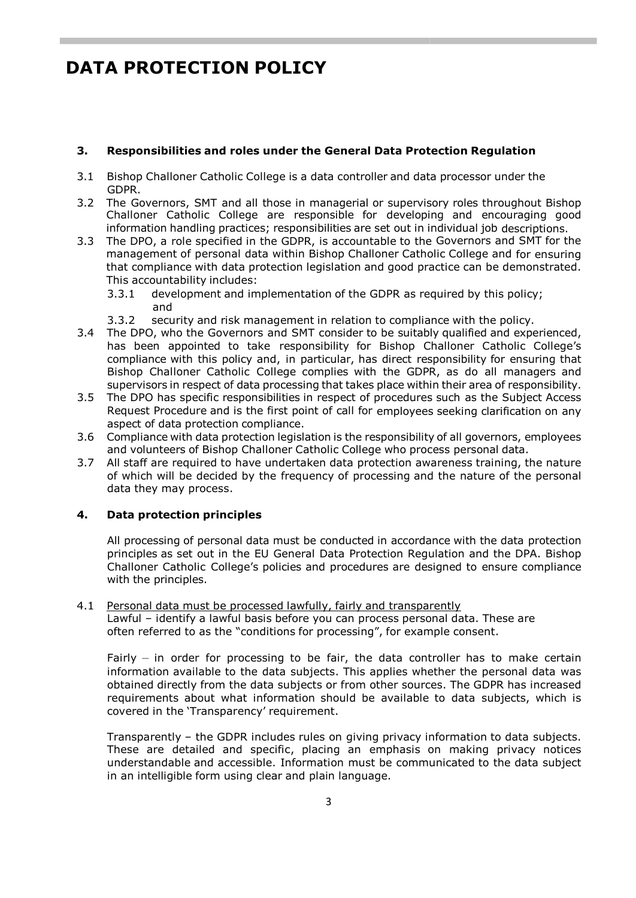#### **3. Responsibilities and roles under the General Data Protection Regulation**

- 3.1 Bishop Challoner Catholic College is a data controller and data processor under the GDPR.
- 3.2 The Governors, SMT and all those in managerial or supervisory roles throughout Bishop Challoner Catholic College are responsible for developing and encouraging good information handling practices; responsibilities are set out in individual job descriptions.
- 3.3 The DPO, a role specified in the GDPR, is accountable to the Governors and SMT for the management of personal data within Bishop Challoner Catholic College and for ensuring that compliance with data protection legislation and good practice can be demonstrated. This accountability includes:
	- 3.3.1 development and implementation of the GDPR as required by this policy; and
	- 3.3.2 security and risk management in relation to compliance with the policy.
- 3.4 The DPO, who the Governors and SMT consider to be suitably qualified and experienced, has been appointed to take responsibility for Bishop Challoner Catholic College's compliance with this policy and, in particular, has direct responsibility for ensuring that Bishop Challoner Catholic College complies with the GDPR, as do all managers and supervisors in respect of data processing that takes place within their area of responsibility.
- 3.5 The DPO has specific responsibilities in respect of procedures such as the Subject Access Request Procedure and is the first point of call for employees seeking clarification on any aspect of data protection compliance.
- 3.6 Compliance with data protection legislation is the responsibility of all governors, employees and volunteers of Bishop Challoner Catholic College who process personal data.
- 3.7 All staff are required to have undertaken data protection awareness training, the nature of which will be decided by the frequency of processing and the nature of the personal data they may process.

### **4. Data protection principles**

All processing of personal data must be conducted in accordance with the data protection principles as set out in the EU General Data Protection Regulation and the DPA. Bishop Challoner Catholic College's policies and procedures are designed to ensure compliance with the principles.

4.1 Personal data must be processed lawfully, fairly and transparently Lawful – identify a lawful basis before you can process personal data. These are often referred to as the "conditions for processing", for example consent.

Fairly – in order for processing to be fair, the data controller has to make certain information available to the data subjects. This applies whether the personal data was obtained directly from the data subjects or from other sources. The GDPR has increased requirements about what information should be available to data subjects, which is covered in the 'Transparency' requirement.

Transparently – the GDPR includes rules on giving privacy information to data subjects. These are detailed and specific, placing an emphasis on making privacy notices understandable and accessible. Information must be communicated to the data subject in an intelligible form using clear and plain language.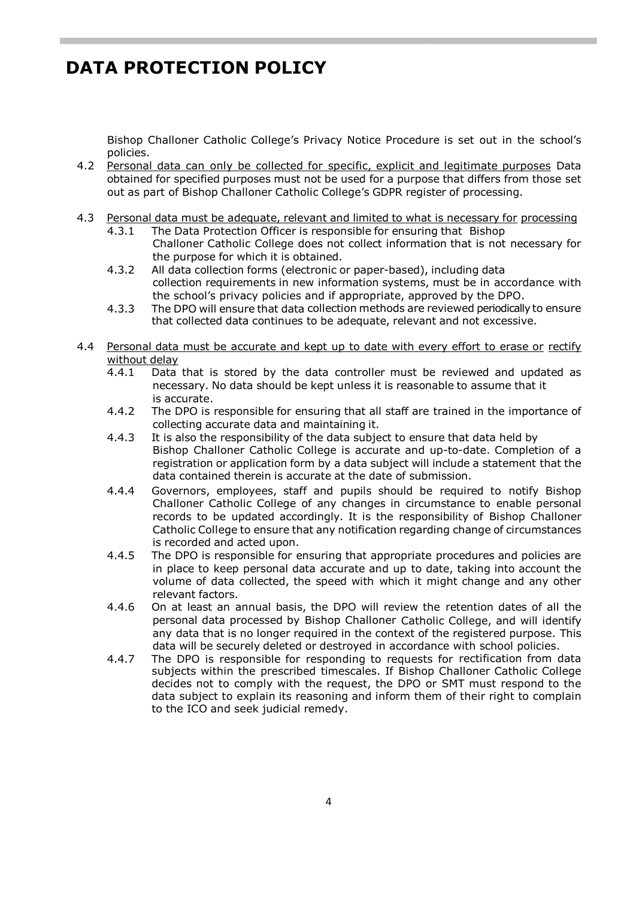Bishop Challoner Catholic College's Privacy Notice Procedure is set out in the school's policies.

- 4.2 Personal data can only be collected for specific, explicit and legitimate purposes Data obtained for specified purposes must not be used for a purpose that differs from those set out as part of Bishop Challoner Catholic College's GDPR register of processing.
- 4.3 Personal data must be adequate, relevant and limited to what is necessary for processing
	- 4.3.1 The Data Protection Officer is responsible for ensuring that Bishop Challoner Catholic College does not collect information that is not necessary for the purpose for which it is obtained.
	- 4.3.2 All data collection forms (electronic or paper-based), including data collection requirements in new information systems, must be in accordance with the school's privacy policies and if appropriate, approved by the DPO.
	- 4.3.3 The DPO will ensure that data collection methods are reviewed periodically to ensure that collected data continues to be adequate, relevant and not excessive.
- 4.4 Personal data must be accurate and kept up to date with every effort to erase or rectify without delay
	- 4.4.1 Data that is stored by the data controller must be reviewed and updated as necessary. No data should be kept unless it is reasonable to assume that it is accurate.
	- 4.4.2 The DPO is responsible for ensuring that all staff are trained in the importance of collecting accurate data and maintaining it.
	- 4.4.3 It is also the responsibility of the data subject to ensure that data held by Bishop Challoner Catholic College is accurate and up-to-date. Completion of a registration or application form by a data subject will include a statement that the data contained therein is accurate at the date of submission.
	- 4.4.4 Governors, employees, staff and pupils should be required to notify Bishop Challoner Catholic College of any changes in circumstance to enable personal records to be updated accordingly. It is the responsibility of Bishop Challoner Catholic College to ensure that any notification regarding change of circumstances is recorded and acted upon.
	- 4.4.5 The DPO is responsible for ensuring that appropriate procedures and policies are in place to keep personal data accurate and up to date, taking into account the volume of data collected, the speed with which it might change and any other relevant factors.
	- 4.4.6 On at least an annual basis, the DPO will review the retention dates of all the personal data processed by Bishop Challoner Catholic College, and will identify any data that is no longer required in the context of the registered purpose. This data will be securely deleted or destroyed in accordance with school policies.
	- 4.4.7 The DPO is responsible for responding to requests for rectification from data subjects within the prescribed timescales. If Bishop Challoner Catholic College decides not to comply with the request, the DPO or SMT must respond to the data subject to explain its reasoning and inform them of their right to complain to the ICO and seek judicial remedy.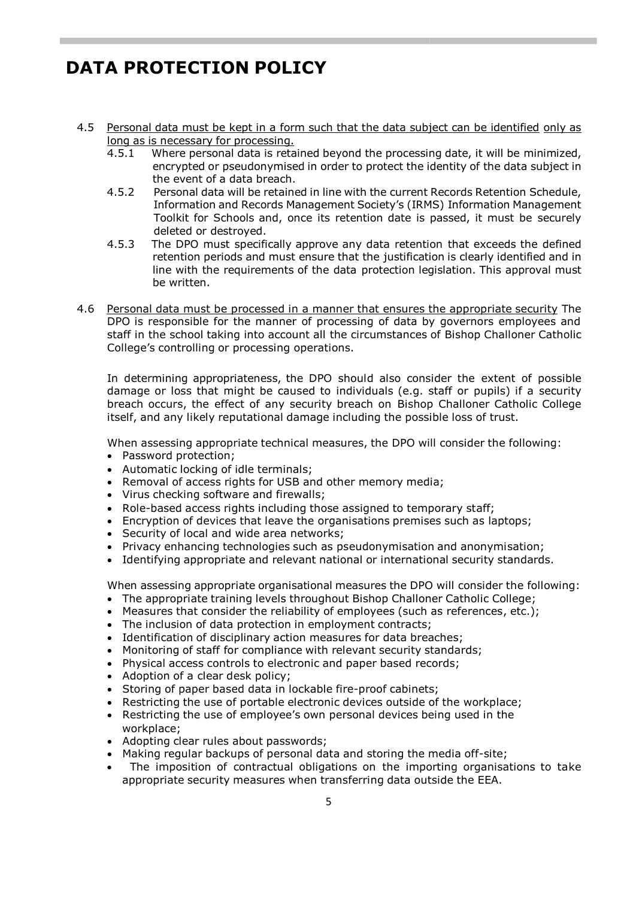- 4.5 Personal data must be kept in a form such that the data subject can be identified only as long as is necessary for processing.
	- 4.5.1 Where personal data is retained beyond the processing date, it will be minimized, encrypted or pseudonymised in order to protect the identity of the data subject in the event of a data breach.
	- 4.5.2 Personal data will be retained in line with the current Records Retention Schedule, Information and Records Management Society's (IRMS) Information Management Toolkit for Schools and, once its retention date is passed, it must be securely deleted or destroyed.
	- 4.5.3 The DPO must specifically approve any data retention that exceeds the defined retention periods and must ensure that the justification is clearly identified and in line with the requirements of the data protection legislation. This approval must be written.
- 4.6 Personal data must be processed in a manner that ensures the appropriate security The DPO is responsible for the manner of processing of data by governors employees and staff in the school taking into account all the circumstances of Bishop Challoner Catholic College's controlling or processing operations.

In determining appropriateness, the DPO should also consider the extent of possible damage or loss that might be caused to individuals (e.g. staff or pupils) if a security breach occurs, the effect of any security breach on Bishop Challoner Catholic College itself, and any likely reputational damage including the possible loss of trust.

When assessing appropriate technical measures, the DPO will consider the following:

- Password protection;
- Automatic locking of idle terminals;
- Removal of access rights for USB and other memory media;
- Virus checking software and firewalls;
- Role-based access rights including those assigned to temporary staff;
- Encryption of devices that leave the organisations premises such as laptops;
- Security of local and wide area networks;
- Privacy enhancing technologies such as pseudonymisation and anonymisation;
- Identifying appropriate and relevant national or international security standards.

When assessing appropriate organisational measures the DPO will consider the following:

- The appropriate training levels throughout Bishop Challoner Catholic College;
- Measures that consider the reliability of employees (such as references, etc.);
- The inclusion of data protection in employment contracts;
- Identification of disciplinary action measures for data breaches;
- Monitoring of staff for compliance with relevant security standards;
- Physical access controls to electronic and paper based records;
- Adoption of a clear desk policy;
- Storing of paper based data in lockable fire-proof cabinets;
- Restricting the use of portable electronic devices outside of the workplace;
- Restricting the use of employee's own personal devices being used in the workplace;
- Adopting clear rules about passwords;
- Making regular backups of personal data and storing the media off-site;
- The imposition of contractual obligations on the importing organisations to take appropriate security measures when transferring data outside the EEA.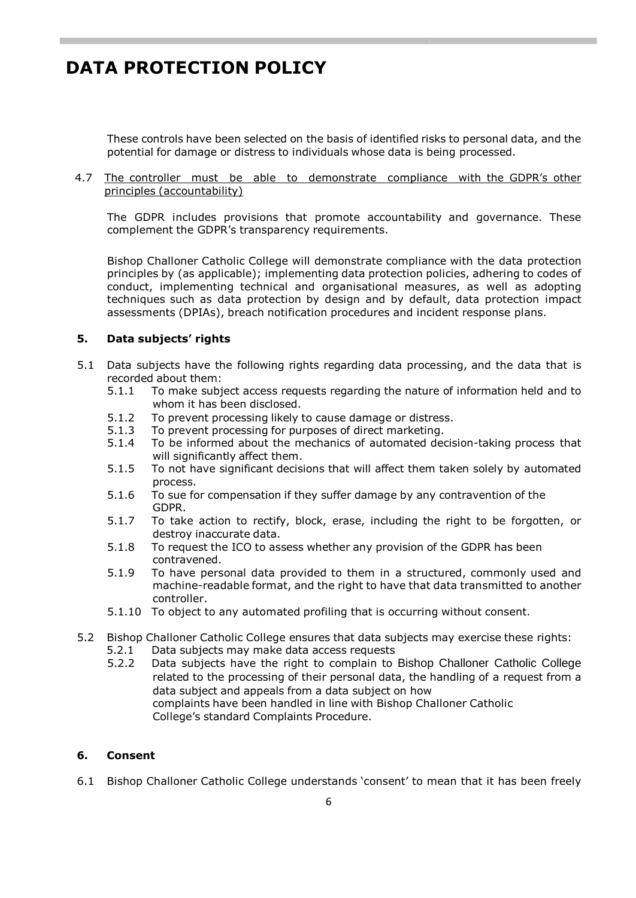These controls have been selected on the basis of identified risks to personal data, and the potential for damage or distress to individuals whose data is being processed.

#### 4.7 The controller must be able to demonstrate compliance with the GDPR's other principles (accountability)

The GDPR includes provisions that promote accountability and governance. These complement the GDPR's transparency requirements.

Bishop Challoner Catholic College will demonstrate compliance with the data protection principles by (as applicable); implementing data protection policies, adhering to codes of conduct, implementing technical and organisational measures, as well as adopting techniques such as data protection by design and by default, data protection impact assessments (DPIAs), breach notification procedures and incident response plans.

#### **5. Data subjects' rights**

- 5.1 Data subjects have the following rights regarding data processing, and the data that is recorded about them:<br>5.1.1 To make subi
	- To make subject access requests regarding the nature of information held and to whom it has been disclosed.
	- 5.1.2 To prevent processing likely to cause damage or distress.<br>5.1.3 To prevent processing for purposes of direct marketing.
	- To prevent processing for purposes of direct marketing.
	- 5.1.4 To be informed about the mechanics of automated decision-taking process that will significantly affect them.
	- 5.1.5 To not have significant decisions that will affect them taken solely by automated process.
	- 5.1.6 To sue for compensation if they suffer damage by any contravention of the GDPR.
	- 5.1.7 To take action to rectify, block, erase, including the right to be forgotten, or destroy inaccurate data.
	- 5.1.8 To request the ICO to assess whether any provision of the GDPR has been contravened.
	- 5.1.9 To have personal data provided to them in a structured, commonly used and machine-readable format, and the right to have that data transmitted to another controller.
	- 5.1.10 To object to any automated profiling that is occurring without consent.
- 5.2 Bishop Challoner Catholic College ensures that data subjects may exercise these rights: 5.2.1 Data subjects may make data access requests
	- 5.2.2 Data subjects have the right to complain to Bishop Challoner Catholic College related to the processing of their personal data, the handling of a request from a data subject and appeals from a data subject on how complaints have been handled in line with Bishop Challoner Catholic College's standard Complaints Procedure.

#### **6. Consent**

6.1 Bishop Challoner Catholic College understands 'consent' to mean that it has been freely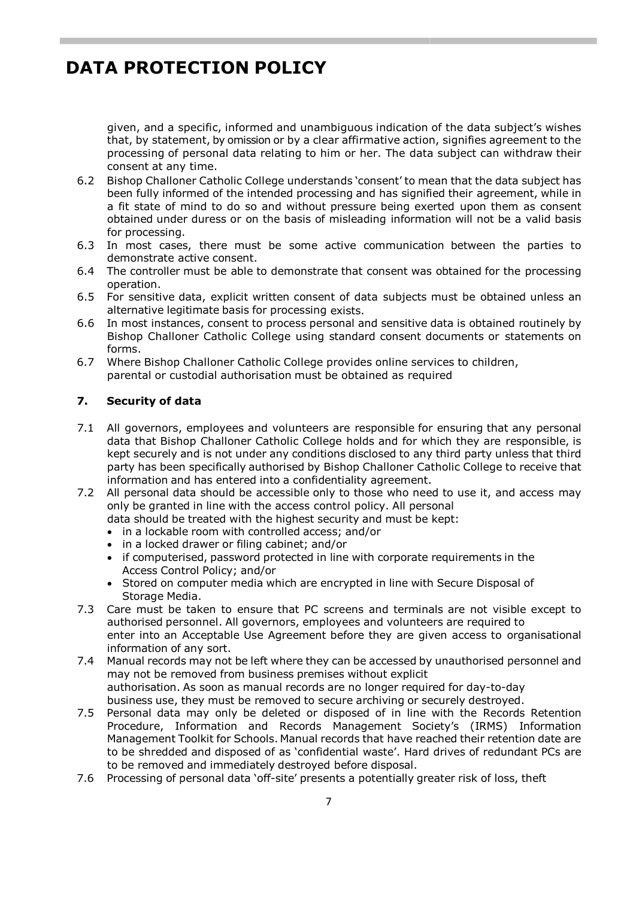given, and a specific, informed and unambiguous indication of the data subject's wishes that, by statement, by omission or by a clear affirmative action, signifies agreement to the processing of personal data relating to him or her. The data subject can withdraw their consent at any time.

- 6.2 Bishop Challoner Catholic College understands 'consent' to mean that the data subject has been fully informed of the intended processing and has signified their agreement, while in a fit state of mind to do so and without pressure being exerted upon them as consent obtained under duress or on the basis of misleading information will not be a valid basis for processing.
- 6.3 In most cases, there must be some active communication between the parties to demonstrate active consent.
- 6.4 The controller must be able to demonstrate that consent was obtained for the processing operation.
- 6.5 For sensitive data, explicit written consent of data subjects must be obtained unless an alternative legitimate basis for processing exists.
- 6.6 In most instances, consent to process personal and sensitive data is obtained routinely by Bishop Challoner Catholic College using standard consent documents or statements on forms.
- 6.7 Where Bishop Challoner Catholic College provides online services to children, parental or custodial authorisation must be obtained as required

### **7. Security of data**

- 7.1 All governors, employees and volunteers are responsible for ensuring that any personal data that Bishop Challoner Catholic College holds and for which they are responsible, is kept securely and is not under any conditions disclosed to any third party unless that third party has been specifically authorised by Bishop Challoner Catholic College to receive that information and has entered into a confidentiality agreement.
- 7.2 All personal data should be accessible only to those who need to use it, and access may only be granted in line with the access control policy. All personal
	- data should be treated with the highest security and must be kept:
	- in a lockable room with controlled access; and/or
	- in a locked drawer or filing cabinet; and/or
	- if computerised, password protected in line with corporate requirements in the Access Control Policy; and/or
	- Stored on computer media which are encrypted in line with Secure Disposal of Storage Media.
- 7.3 Care must be taken to ensure that PC screens and terminals are not visible except to authorised personnel. All governors, employees and volunteers are required to enter into an Acceptable Use Agreement before they are given access to organisational information of any sort.
- 7.4 Manual records may not be left where they can be accessed by unauthorised personnel and may not be removed from business premises without explicit authorisation. As soon as manual records are no longer required for day-to-day business use, they must be removed to secure archiving or securely destroyed.
- 7.5 Personal data may only be deleted or disposed of in line with the Records Retention Procedure, Information and Records Management Society's (IRMS) Information Management Toolkit for Schools. Manual records that have reached their retention date are to be shredded and disposed of as 'confidential waste'. Hard drives of redundant PCs are to be removed and immediately destroyed before disposal.
- 7.6 Processing of personal data 'off-site' presents a potentially greater risk of loss, theft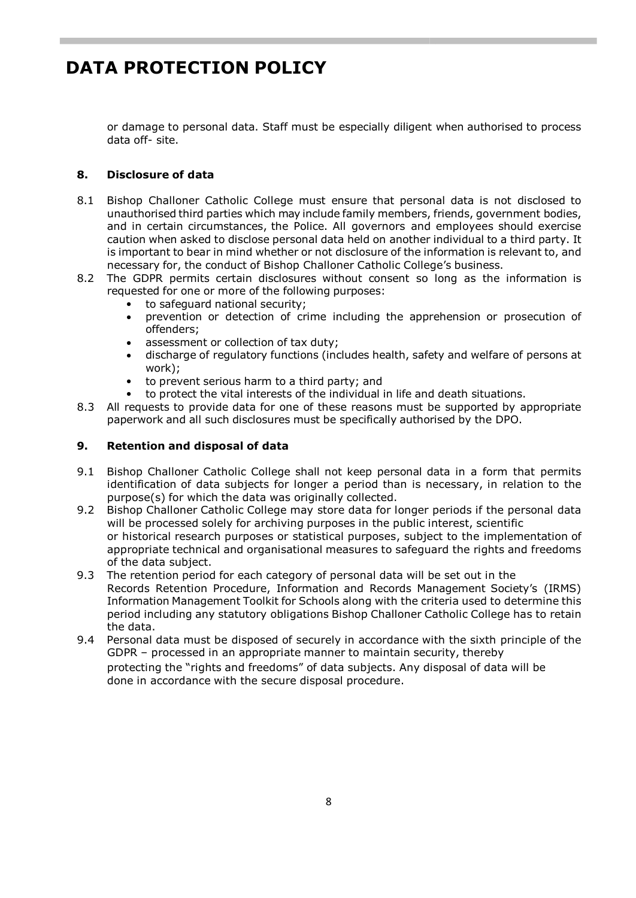or damage to personal data. Staff must be especially diligent when authorised to process data off- site.

### **8. Disclosure of data**

- 8.1 Bishop Challoner Catholic College must ensure that personal data is not disclosed to unauthorised third parties which may include family members, friends, government bodies, and in certain circumstances, the Police. All governors and employees should exercise caution when asked to disclose personal data held on another individual to a third party. It is important to bear in mind whether or not disclosure of the information is relevant to, and necessary for, the conduct of Bishop Challoner Catholic College's business.
- 8.2 The GDPR permits certain disclosures without consent so long as the information is requested for one or more of the following purposes:
	- to safeguard national security;
	- prevention or detection of crime including the apprehension or prosecution of offenders;
	- assessment or collection of tax duty;
	- discharge of regulatory functions (includes health, safety and welfare of persons at work);
	- to prevent serious harm to a third party; and
	- to protect the vital interests of the individual in life and death situations.
- 8.3 All requests to provide data for one of these reasons must be supported by appropriate paperwork and all such disclosures must be specifically authorised by the DPO.

#### **9. Retention and disposal of data**

- 9.1 Bishop Challoner Catholic College shall not keep personal data in a form that permits identification of data subjects for longer a period than is necessary, in relation to the purpose(s) for which the data was originally collected.
- 9.2 Bishop Challoner Catholic College may store data for longer periods if the personal data will be processed solely for archiving purposes in the public interest, scientific or historical research purposes or statistical purposes, subject to the implementation of appropriate technical and organisational measures to safeguard the rights and freedoms of the data subject.
- 9.3 The retention period for each category of personal data will be set out in the Records Retention Procedure, Information and Records Management Society's (IRMS) Information Management Toolkit for Schools along with the criteria used to determine this period including any statutory obligations Bishop Challoner Catholic College has to retain the data.
- 9.4 Personal data must be disposed of securely in accordance with the sixth principle of the GDPR – processed in an appropriate manner to maintain security, thereby protecting the "rights and freedoms" of data subjects. Any disposal of data will be done in accordance with the secure disposal procedure.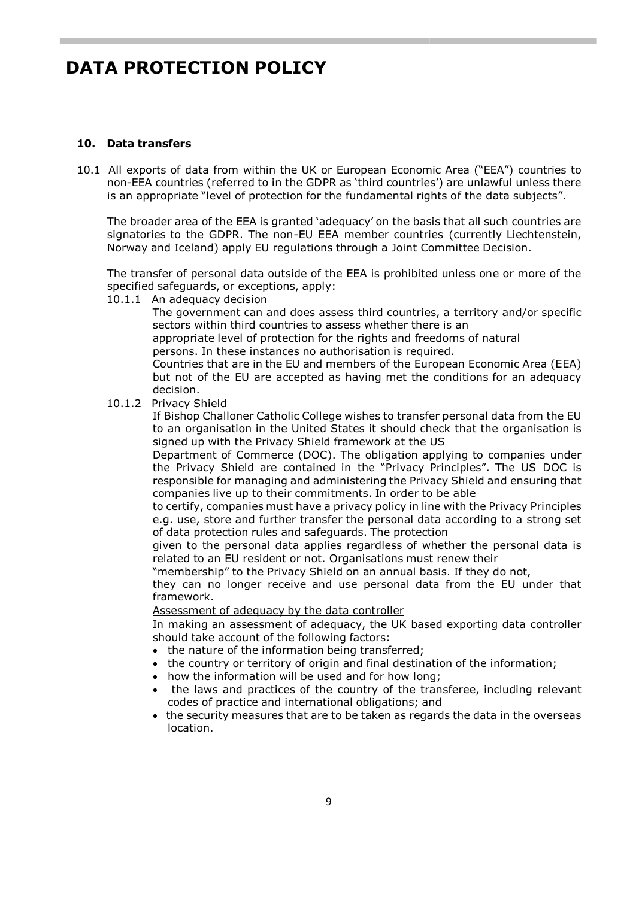#### **10. Data transfers**

10.1 All exports of data from within the UK or European Economic Area ("EEA") countries to non-EEA countries (referred to in the GDPR as 'third countries') are unlawful unless there is an appropriate "level of protection for the fundamental rights of the data subjects".

The broader area of the EEA is granted 'adequacy' on the basis that all such countries are signatories to the GDPR. The non-EU EEA member countries (currently Liechtenstein, Norway and Iceland) apply EU regulations through a Joint Committee Decision.

The transfer of personal data outside of the EEA is prohibited unless one or more of the specified safeguards, or exceptions, apply:

10.1.1 An adequacy decision

The government can and does assess third countries, a territory and/or specific sectors within third countries to assess whether there is an

appropriate level of protection for the rights and freedoms of natural persons. In these instances no authorisation is required.

Countries that are in the EU and members of the European Economic Area (EEA) but not of the EU are accepted as having met the conditions for an adequacy decision.

10.1.2 Privacy Shield

If Bishop Challoner Catholic College wishes to transfer personal data from the EU to an organisation in the United States it should check that the organisation is signed up with the Privacy Shield framework at the US

Department of Commerce (DOC). The obligation applying to companies under the Privacy Shield are contained in the "Privacy Principles". The US DOC is responsible for managing and administering the Privacy Shield and ensuring that companies live up to their commitments. In order to be able

to certify, companies must have a privacy policy in line with the Privacy Principles e.g. use, store and further transfer the personal data according to a strong set of data protection rules and safeguards. The protection

given to the personal data applies regardless of whether the personal data is related to an EU resident or not. Organisations must renew their

"membership" to the Privacy Shield on an annual basis. If they do not,

they can no longer receive and use personal data from the EU under that framework.

#### Assessment of adequacy by the data controller

In making an assessment of adequacy, the UK based exporting data controller should take account of the following factors:

- the nature of the information being transferred;
- the country or territory of origin and final destination of the information;
- how the information will be used and for how long;
- the laws and practices of the country of the transferee, including relevant codes of practice and international obligations; and
- the security measures that are to be taken as regards the data in the overseas location.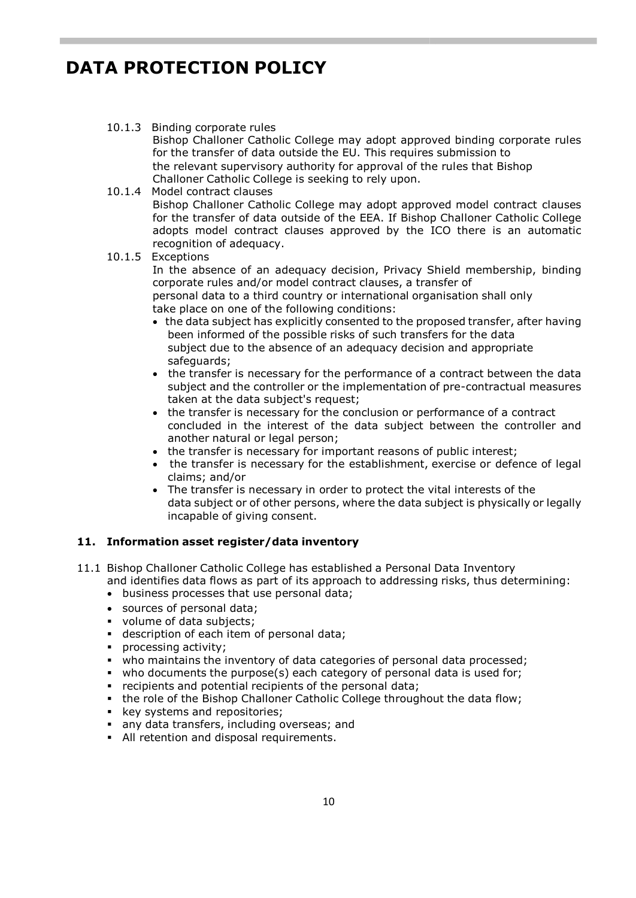### 10.1.3 Binding corporate rules

Bishop Challoner Catholic College may adopt approved binding corporate rules for the transfer of data outside the EU. This requires submission to the relevant supervisory authority for approval of the rules that Bishop Challoner Catholic College is seeking to rely upon.

#### 10.1.4 Model contract clauses

Bishop Challoner Catholic College may adopt approved model contract clauses for the transfer of data outside of the EEA. If Bishop Challoner Catholic College adopts model contract clauses approved by the ICO there is an automatic recognition of adequacy.

#### 10.1.5 Exceptions

In the absence of an adequacy decision, Privacy Shield membership, binding corporate rules and/or model contract clauses, a transfer of personal data to a third country or international organisation shall only take place on one of the following conditions:

- the data subject has explicitly consented to the proposed transfer, after having been informed of the possible risks of such transfers for the data subject due to the absence of an adequacy decision and appropriate safeguards;
- the transfer is necessary for the performance of a contract between the data subject and the controller or the implementation of pre-contractual measures taken at the data subject's request;
- the transfer is necessary for the conclusion or performance of a contract concluded in the interest of the data subject between the controller and another natural or legal person;
- the transfer is necessary for important reasons of public interest;
- the transfer is necessary for the establishment, exercise or defence of legal claims; and/or
- The transfer is necessary in order to protect the vital interests of the data subject or of other persons, where the data subject is physically or legally incapable of giving consent.

### **11. Information asset register/data inventory**

- 11.1 Bishop Challoner Catholic College has established a Personal Data Inventory and identifies data flows as part of its approach to addressing risks, thus determining:
	- business processes that use personal data;
	- sources of personal data:
	- volume of data subjects;
	- **description of each item of personal data;**
	- processing activity;
	- who maintains the inventory of data categories of personal data processed;
	- who documents the purpose(s) each category of personal data is used for;
	- recipients and potential recipients of the personal data;
	- the role of the Bishop Challoner Catholic College throughout the data flow;
	- key systems and repositories;
	- any data transfers, including overseas; and
	- All retention and disposal requirements.